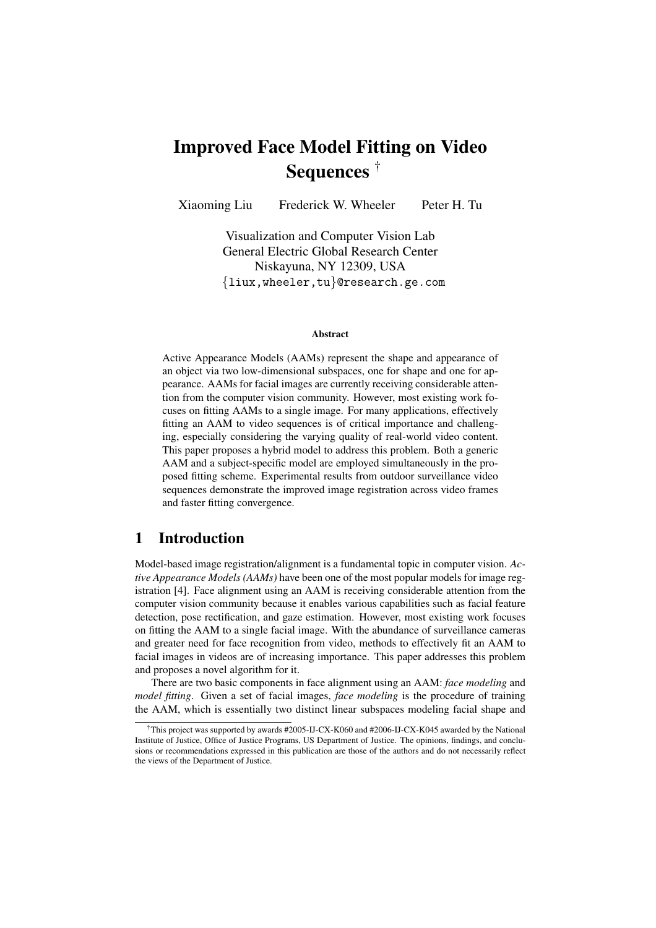# Improved Face Model Fitting on Video Sequences †

Xiaoming Liu Frederick W. Wheeler Peter H. Tu

Visualization and Computer Vision Lab General Electric Global Research Center Niskayuna, NY 12309, USA {liux,wheeler,tu}@research.ge.com

#### Abstract

Active Appearance Models (AAMs) represent the shape and appearance of an object via two low-dimensional subspaces, one for shape and one for appearance. AAMs for facial images are currently receiving considerable attention from the computer vision community. However, most existing work focuses on fitting AAMs to a single image. For many applications, effectively fitting an AAM to video sequences is of critical importance and challenging, especially considering the varying quality of real-world video content. This paper proposes a hybrid model to address this problem. Both a generic AAM and a subject-specific model are employed simultaneously in the proposed fitting scheme. Experimental results from outdoor surveillance video sequences demonstrate the improved image registration across video frames and faster fitting convergence.

## 1 Introduction

Model-based image registration/alignment is a fundamental topic in computer vision. *Active Appearance Models (AAMs)* have been one of the most popular models for image registration [4]. Face alignment using an AAM is receiving considerable attention from the computer vision community because it enables various capabilities such as facial feature detection, pose rectification, and gaze estimation. However, most existing work focuses on fitting the AAM to a single facial image. With the abundance of surveillance cameras and greater need for face recognition from video, methods to effectively fit an AAM to facial images in videos are of increasing importance. This paper addresses this problem and proposes a novel algorithm for it.

There are two basic components in face alignment using an AAM: *face modeling* and *model fitting*. Given a set of facial images, *face modeling* is the procedure of training the AAM, which is essentially two distinct linear subspaces modeling facial shape and

<sup>†</sup>This project was supported by awards #2005-IJ-CX-K060 and #2006-IJ-CX-K045 awarded by the National Institute of Justice, Office of Justice Programs, US Department of Justice. The opinions, findings, and conclusions or recommendations expressed in this publication are those of the authors and do not necessarily reflect the views of the Department of Justice.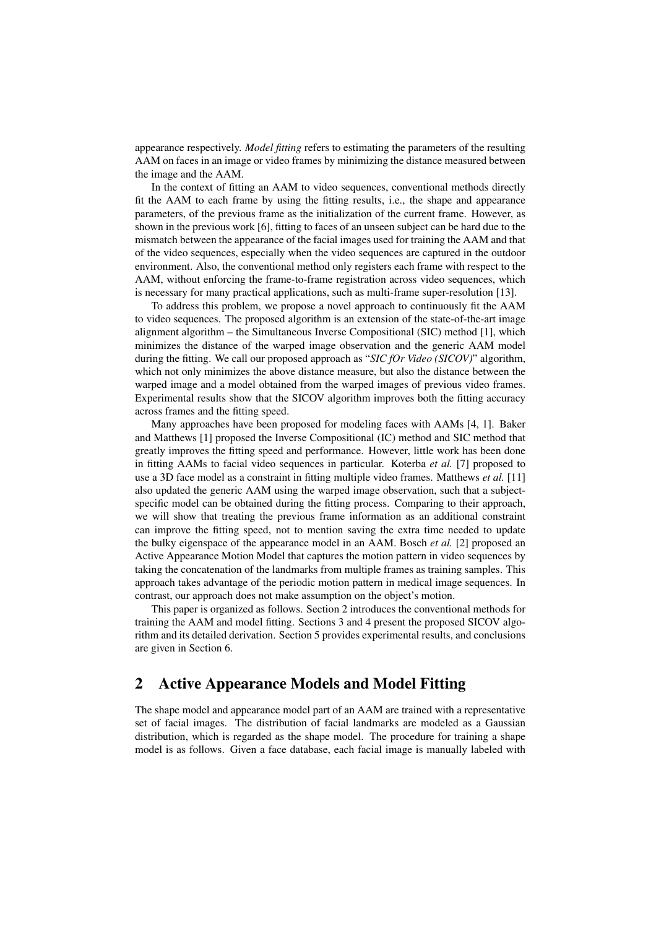appearance respectively. *Model fitting* refers to estimating the parameters of the resulting AAM on faces in an image or video frames by minimizing the distance measured between the image and the AAM.

In the context of fitting an AAM to video sequences, conventional methods directly fit the AAM to each frame by using the fitting results, i.e., the shape and appearance parameters, of the previous frame as the initialization of the current frame. However, as shown in the previous work [6], fitting to faces of an unseen subject can be hard due to the mismatch between the appearance of the facial images used for training the AAM and that of the video sequences, especially when the video sequences are captured in the outdoor environment. Also, the conventional method only registers each frame with respect to the AAM, without enforcing the frame-to-frame registration across video sequences, which is necessary for many practical applications, such as multi-frame super-resolution [13].

To address this problem, we propose a novel approach to continuously fit the AAM to video sequences. The proposed algorithm is an extension of the state-of-the-art image alignment algorithm – the Simultaneous Inverse Compositional (SIC) method [1], which minimizes the distance of the warped image observation and the generic AAM model during the fitting. We call our proposed approach as "*SIC fOr Video (SICOV)*" algorithm, which not only minimizes the above distance measure, but also the distance between the warped image and a model obtained from the warped images of previous video frames. Experimental results show that the SICOV algorithm improves both the fitting accuracy across frames and the fitting speed.

Many approaches have been proposed for modeling faces with AAMs [4, 1]. Baker and Matthews [1] proposed the Inverse Compositional (IC) method and SIC method that greatly improves the fitting speed and performance. However, little work has been done in fitting AAMs to facial video sequences in particular. Koterba *et al.* [7] proposed to use a 3D face model as a constraint in fitting multiple video frames. Matthews *et al.* [11] also updated the generic AAM using the warped image observation, such that a subjectspecific model can be obtained during the fitting process. Comparing to their approach, we will show that treating the previous frame information as an additional constraint can improve the fitting speed, not to mention saving the extra time needed to update the bulky eigenspace of the appearance model in an AAM. Bosch *et al.* [2] proposed an Active Appearance Motion Model that captures the motion pattern in video sequences by taking the concatenation of the landmarks from multiple frames as training samples. This approach takes advantage of the periodic motion pattern in medical image sequences. In contrast, our approach does not make assumption on the object's motion.

This paper is organized as follows. Section 2 introduces the conventional methods for training the AAM and model fitting. Sections 3 and 4 present the proposed SICOV algorithm and its detailed derivation. Section 5 provides experimental results, and conclusions are given in Section 6.

# 2 Active Appearance Models and Model Fitting

The shape model and appearance model part of an AAM are trained with a representative set of facial images. The distribution of facial landmarks are modeled as a Gaussian distribution, which is regarded as the shape model. The procedure for training a shape model is as follows. Given a face database, each facial image is manually labeled with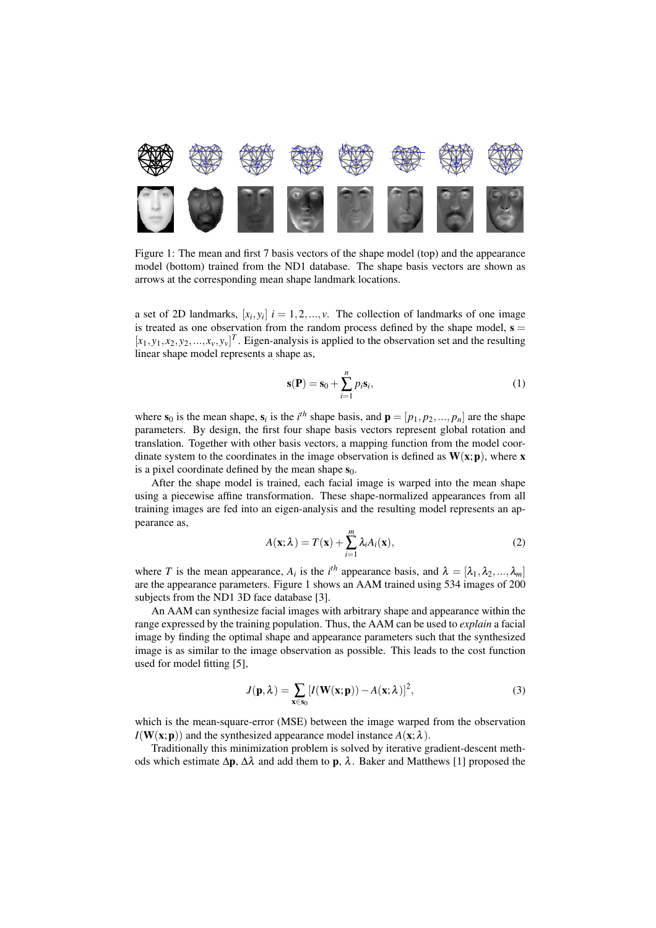

Figure 1: The mean and first 7 basis vectors of the shape model (top) and the appearance model (bottom) trained from the ND1 database. The shape basis vectors are shown as arrows at the corresponding mean shape landmark locations.

a set of 2D landmarks,  $[x_i, y_i]$   $i = 1, 2, ..., v$ . The collection of landmarks of one image is treated as one observation from the random process defined by the shape model,  $s =$  $[x_1, y_1, x_2, y_2, \ldots, x_v, y_v]^T$ . Eigen-analysis is applied to the observation set and the resulting linear shape model represents a shape as,

$$
\mathbf{s}(\mathbf{P}) = \mathbf{s}_0 + \sum_{i=1}^{n} p_i \mathbf{s}_i,\tag{1}
$$

where  $s_0$  is the mean shape,  $s_i$  is the *i*<sup>th</sup> shape basis, and  $\mathbf{p} = [p_1, p_2, ..., p_n]$  are the shape parameters. By design, the first four shape basis vectors represent global rotation and translation. Together with other basis vectors, a mapping function from the model coordinate system to the coordinates in the image observation is defined as  $W(x; p)$ , where x is a pixel coordinate defined by the mean shape  $s_0$ .

After the shape model is trained, each facial image is warped into the mean shape using a piecewise affine transformation. These shape-normalized appearances from all training images are fed into an eigen-analysis and the resulting model represents an appearance as,

$$
A(\mathbf{x}; \lambda) = T(\mathbf{x}) + \sum_{i=1}^{m} \lambda_i A_i(\mathbf{x}),
$$
\n(2)

where *T* is the mean appearance,  $A_i$  is the *i*<sup>th</sup> appearance basis, and  $\lambda = [\lambda_1, \lambda_2, ..., \lambda_m]$ are the appearance parameters. Figure 1 shows an AAM trained using 534 images of 200 subjects from the ND1 3D face database [3].

An AAM can synthesize facial images with arbitrary shape and appearance within the range expressed by the training population. Thus, the AAM can be used to *explain* a facial image by finding the optimal shape and appearance parameters such that the synthesized image is as similar to the image observation as possible. This leads to the cost function used for model fitting [5],

$$
J(\mathbf{p}, \lambda) = \sum_{\mathbf{x} \in \mathbf{s}_0} [I(\mathbf{W}(\mathbf{x}; \mathbf{p})) - A(\mathbf{x}; \lambda)]^2,
$$
 (3)

which is the mean-square-error (MSE) between the image warped from the observation  $I(W(x; p))$  and the synthesized appearance model instance  $A(x; \lambda)$ .

Traditionally this minimization problem is solved by iterative gradient-descent methods which estimate  $\Delta p$ ,  $\Delta \lambda$  and add them to p,  $\lambda$ . Baker and Matthews [1] proposed the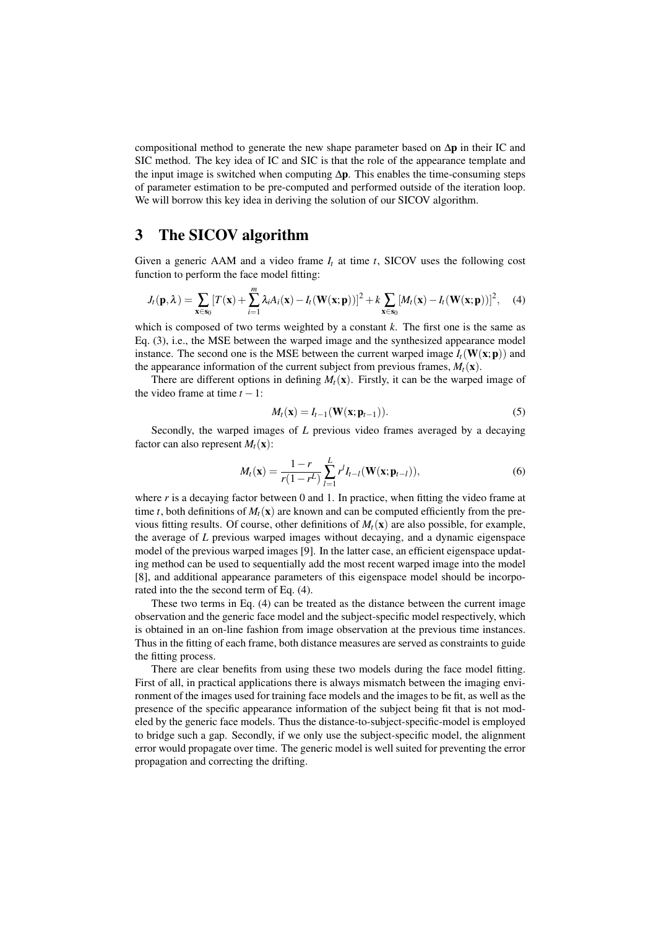compositional method to generate the new shape parameter based on ∆p in their IC and SIC method. The key idea of IC and SIC is that the role of the appearance template and the input image is switched when computing ∆p. This enables the time-consuming steps of parameter estimation to be pre-computed and performed outside of the iteration loop. We will borrow this key idea in deriving the solution of our SICOV algorithm.

### 3 The SICOV algorithm

Given a generic AAM and a video frame  $I_t$  at time  $t$ , SICOV uses the following cost function to perform the face model fitting:

$$
J_t(\mathbf{p},\lambda) = \sum_{\mathbf{x}\in\mathbf{s}_0} [T(\mathbf{x}) + \sum_{i=1}^m \lambda_i A_i(\mathbf{x}) - I_t(\mathbf{W}(\mathbf{x};\mathbf{p}))]^2 + k \sum_{\mathbf{x}\in\mathbf{s}_0} [M_t(\mathbf{x}) - I_t(\mathbf{W}(\mathbf{x};\mathbf{p}))]^2, \quad (4)
$$

which is composed of two terms weighted by a constant *k*. The first one is the same as Eq. (3), i.e., the MSE between the warped image and the synthesized appearance model instance. The second one is the MSE between the current warped image  $I_t(\mathbf{W}(\mathbf{x};\mathbf{p}))$  and the appearance information of the current subject from previous frames,  $M_t(\mathbf{x})$ .

There are different options in defining  $M_t(\mathbf{x})$ . Firstly, it can be the warped image of the video frame at time  $t - 1$ :

$$
M_t(\mathbf{x}) = I_{t-1}(\mathbf{W}(\mathbf{x}; \mathbf{p}_{t-1})).
$$
\n<sup>(5)</sup>

Secondly, the warped images of *L* previous video frames averaged by a decaying factor can also represent  $M_t(\mathbf{x})$ :

$$
M_t(\mathbf{x}) = \frac{1-r}{r(1-r^L)} \sum_{l=1}^{L} r^l I_{t-l}(\mathbf{W}(\mathbf{x}; \mathbf{p}_{t-l})),
$$
\n(6)

where  $r$  is a decaying factor between 0 and 1. In practice, when fitting the video frame at time *t*, both definitions of  $M_t(\mathbf{x})$  are known and can be computed efficiently from the previous fitting results. Of course, other definitions of  $M_t(\mathbf{x})$  are also possible, for example, the average of *L* previous warped images without decaying, and a dynamic eigenspace model of the previous warped images [9]. In the latter case, an efficient eigenspace updating method can be used to sequentially add the most recent warped image into the model [8], and additional appearance parameters of this eigenspace model should be incorporated into the the second term of Eq. (4).

These two terms in Eq. (4) can be treated as the distance between the current image observation and the generic face model and the subject-specific model respectively, which is obtained in an on-line fashion from image observation at the previous time instances. Thus in the fitting of each frame, both distance measures are served as constraints to guide the fitting process.

There are clear benefits from using these two models during the face model fitting. First of all, in practical applications there is always mismatch between the imaging environment of the images used for training face models and the images to be fit, as well as the presence of the specific appearance information of the subject being fit that is not modeled by the generic face models. Thus the distance-to-subject-specific-model is employed to bridge such a gap. Secondly, if we only use the subject-specific model, the alignment error would propagate over time. The generic model is well suited for preventing the error propagation and correcting the drifting.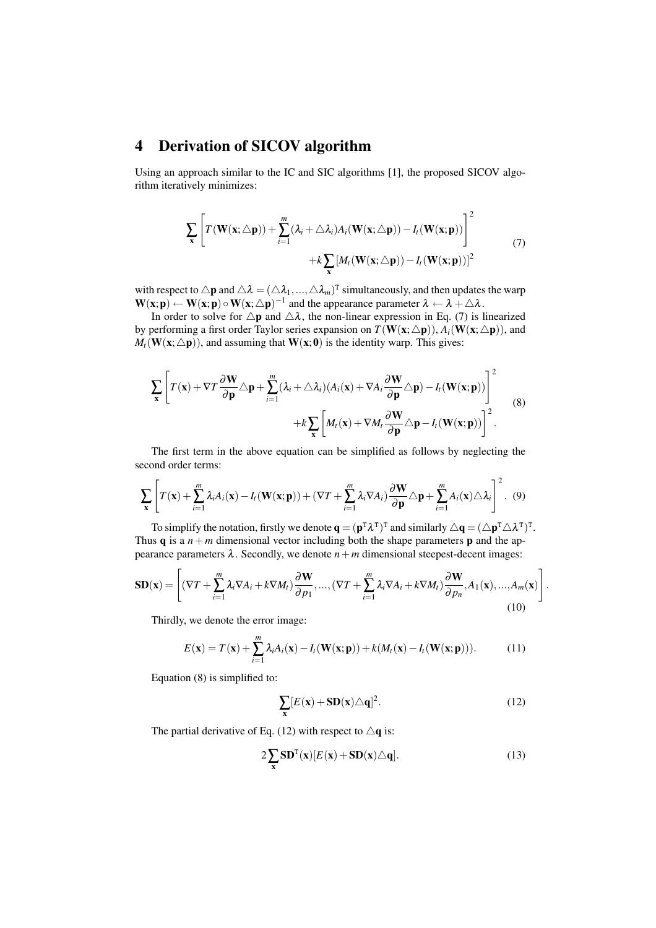# 4 Derivation of SICOV algorithm

Using an approach similar to the IC and SIC algorithms [1], the proposed SICOV algorithm iteratively minimizes:

$$
\sum_{\mathbf{x}} \left[ T(\mathbf{W}(\mathbf{x}; \triangle \mathbf{p})) + \sum_{i=1}^{m} (\lambda_i + \triangle \lambda_i) A_i(\mathbf{W}(\mathbf{x}; \triangle \mathbf{p})) - I_t(\mathbf{W}(\mathbf{x}; \mathbf{p})) \right]^2 + k \sum_{\mathbf{x}} [M_t(\mathbf{W}(\mathbf{x}; \triangle \mathbf{p})) - I_t(\mathbf{W}(\mathbf{x}; \mathbf{p}))]^2
$$
\n(7)

with respect to  $\triangle p$  and  $\triangle \lambda = (\triangle \lambda_1, ..., \triangle \lambda_m)^T$  simultaneously, and then updates the warp  $W(x, p) \leftarrow W(x, p) \circ W(x, \triangle p)^{-1}$  and the appearance parameter  $\lambda \leftarrow \lambda + \triangle \lambda$ .

In order to solve for  $\triangle p$  and  $\triangle \lambda$ , the non-linear expression in Eq. (7) is linearized by performing a first order Taylor series expansion on  $T(W(x; \triangle p))$ ,  $A_i(W(x; \triangle p))$ , and  $M_t(\mathbf{W}(\mathbf{x}; \triangle \mathbf{p}))$ , and assuming that  $\mathbf{W}(\mathbf{x}; 0)$  is the identity warp. This gives:

$$
\sum_{\mathbf{x}} \left[ T(\mathbf{x}) + \nabla T \frac{\partial \mathbf{W}}{\partial \mathbf{p}} \triangle \mathbf{p} + \sum_{i=1}^{m} (\lambda_i + \triangle \lambda_i) (A_i(\mathbf{x}) + \nabla A_i \frac{\partial \mathbf{W}}{\partial \mathbf{p}} \triangle \mathbf{p}) - I_t(\mathbf{W}(\mathbf{x}; \mathbf{p})) \right]^2
$$
  
+  $k \sum_{\mathbf{x}} \left[ M_t(\mathbf{x}) + \nabla M_t \frac{\partial \mathbf{W}}{\partial \mathbf{p}} \triangle \mathbf{p} - I_t(\mathbf{W}(\mathbf{x}; \mathbf{p})) \right]^2$ . (8)

The first term in the above equation can be simplified as follows by neglecting the second order terms:

$$
\sum_{\mathbf{x}} \left[ T(\mathbf{x}) + \sum_{i=1}^{m} \lambda_i A_i(\mathbf{x}) - I_t(\mathbf{W}(\mathbf{x}; \mathbf{p})) + (\nabla T + \sum_{i=1}^{m} \lambda_i \nabla A_i) \frac{\partial \mathbf{W}}{\partial \mathbf{p}} \triangle \mathbf{p} + \sum_{i=1}^{m} A_i(\mathbf{x}) \triangle \lambda_i \right]^2. \tag{9}
$$

To simplify the notation, firstly we denote  $\mathbf{q} = (\mathbf{p}^T \lambda^T)^T$  and similarly  $\Delta \mathbf{q} = (\Delta \mathbf{p}^T \Delta \lambda^T)^T$ . Thus **q** is a  $n+m$  dimensional vector including both the shape parameters **p** and the appearance parameters  $\lambda$ . Secondly, we denote  $n+m$  dimensional steepest-decent images:

$$
\mathbf{SD}(\mathbf{x}) = \left[ (\nabla T + \sum_{i=1}^{m} \lambda_i \nabla A_i + k \nabla M_t) \frac{\partial \mathbf{W}}{\partial p_1}, \dots, (\nabla T + \sum_{i=1}^{m} \lambda_i \nabla A_i + k \nabla M_t) \frac{\partial \mathbf{W}}{\partial p_n}, A_1(\mathbf{x}), \dots, A_m(\mathbf{x}) \right].
$$
\n(10)

Thirdly, we denote the error image:

$$
E(\mathbf{x}) = T(\mathbf{x}) + \sum_{i=1}^{m} \lambda_i A_i(\mathbf{x}) - I_t(\mathbf{W}(\mathbf{x}; \mathbf{p})) + k(M_t(\mathbf{x}) - I_t(\mathbf{W}(\mathbf{x}; \mathbf{p}))).
$$
 (11)

Equation (8) is simplified to:

$$
\sum_{\mathbf{x}} [E(\mathbf{x}) + \mathbf{SD}(\mathbf{x}) \triangle \mathbf{q}]^2.
$$
 (12)

The partial derivative of Eq. (12) with respect to  $\Delta \mathbf{q}$  is:

$$
2\sum_{\mathbf{x}}\mathbf{SD}^{\mathrm{T}}(\mathbf{x})[E(\mathbf{x})+\mathbf{SD}(\mathbf{x})\triangle\mathbf{q}].
$$
 (13)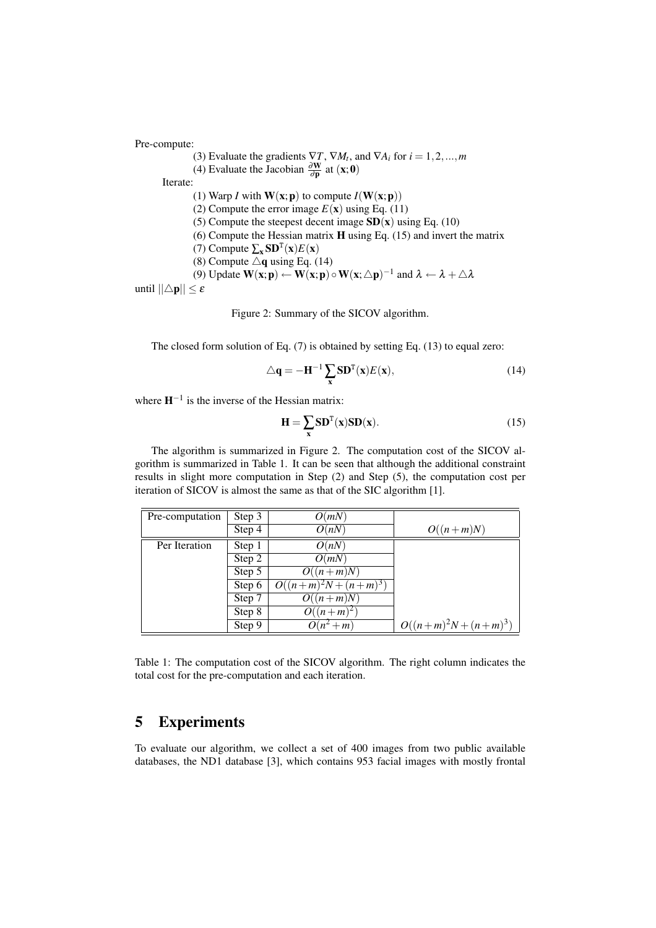Pre-compute:

(3) Evaluate the gradients  $\nabla T$ ,  $\nabla M_t$ , and  $\nabla A_i$  for  $i = 1, 2, ..., m$ (4) Evaluate the Jacobian  $\frac{\partial \mathbf{W}}{\partial \mathbf{p}}$  at  $(\mathbf{x}; \mathbf{0})$ Iterate: (1) Warp *I* with  $W(x; p)$  to compute  $I(W(x; p))$ (2) Compute the error image  $E(\mathbf{x})$  using Eq. (11) (5) Compute the steepest decent image  $SD(x)$  using Eq. (10) (6) Compute the Hessian matrix H using Eq. (15) and invert the matrix (7) Compute  $\sum_{\mathbf{x}}$ **SD**<sup>T</sup>(**x**)*E*(**x**) (8) Compute  $\Delta$ q using Eq. (14) (9) Update  $W(x; p) \leftarrow W(x; p) \circ W(x; \triangle p)^{-1}$  and  $\lambda \leftarrow \lambda + \triangle \lambda$ until  $||\triangle p|| \leq \varepsilon$ 

Figure 2: Summary of the SICOV algorithm.

The closed form solution of Eq. (7) is obtained by setting Eq. (13) to equal zero:

$$
\triangle \mathbf{q} = -\mathbf{H}^{-1} \sum_{\mathbf{x}} \mathbf{SD}^{\mathrm{T}}(\mathbf{x}) E(\mathbf{x}),\tag{14}
$$

where  $H^{-1}$  is the inverse of the Hessian matrix:

$$
\mathbf{H} = \sum_{\mathbf{x}} \mathbf{SD}^{\mathrm{T}}(\mathbf{x}) \mathbf{SD}(\mathbf{x}).
$$
 (15)

The algorithm is summarized in Figure 2. The computation cost of the SICOV algorithm is summarized in Table 1. It can be seen that although the additional constraint results in slight more computation in Step (2) and Step (5), the computation cost per iteration of SICOV is almost the same as that of the SIC algorithm [1].

| Pre-computation | Step 3 | O(mN)                 |                       |
|-----------------|--------|-----------------------|-----------------------|
|                 | Step 4 | O(nN)                 | $O((n+m)N)$           |
| Per Iteration   | Step 1 | O(nN)                 |                       |
|                 | Step 2 | O(mN)                 |                       |
|                 | Step 5 | $O((n+m)N)$           |                       |
|                 | Step 6 | $O((n+m)^2N+(n+m)^3)$ |                       |
|                 | Step 7 | $O((n+m)N)$           |                       |
|                 | Step 8 | $O((n+m)^2)$          |                       |
|                 | Step 9 | $O(n^2+m)$            | $O((n+m)^2N+(n+m)^3)$ |

Table 1: The computation cost of the SICOV algorithm. The right column indicates the total cost for the pre-computation and each iteration.

# 5 Experiments

To evaluate our algorithm, we collect a set of 400 images from two public available databases, the ND1 database [3], which contains 953 facial images with mostly frontal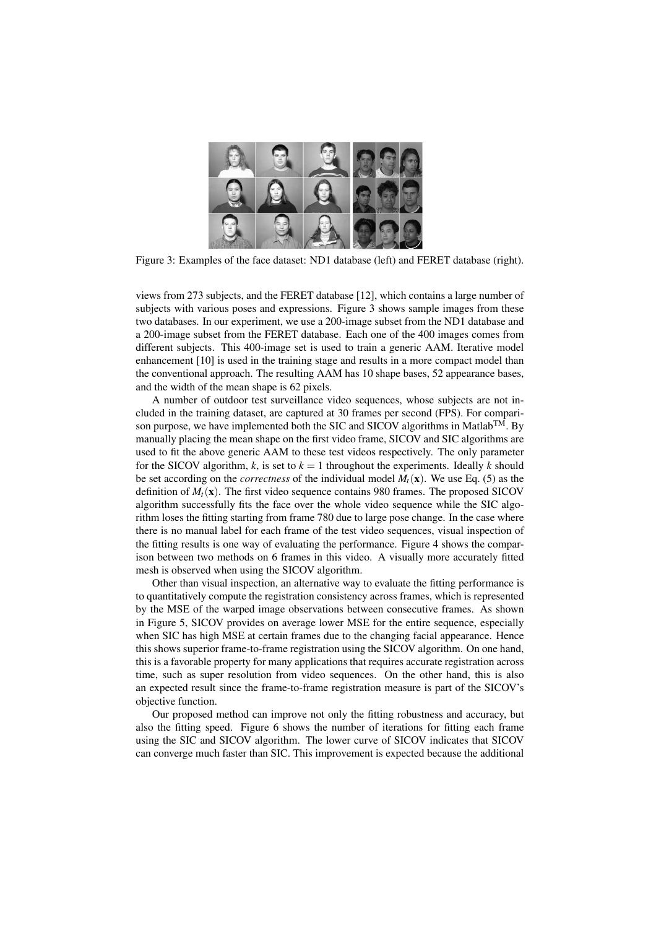

Figure 3: Examples of the face dataset: ND1 database (left) and FERET database (right).

views from 273 subjects, and the FERET database [12], which contains a large number of subjects with various poses and expressions. Figure 3 shows sample images from these two databases. In our experiment, we use a 200-image subset from the ND1 database and a 200-image subset from the FERET database. Each one of the 400 images comes from different subjects. This 400-image set is used to train a generic AAM. Iterative model enhancement [10] is used in the training stage and results in a more compact model than the conventional approach. The resulting AAM has 10 shape bases, 52 appearance bases, and the width of the mean shape is 62 pixels.

A number of outdoor test surveillance video sequences, whose subjects are not included in the training dataset, are captured at 30 frames per second (FPS). For comparison purpose, we have implemented both the SIC and SICOV algorithms in Matlab<sup>TM</sup>. By manually placing the mean shape on the first video frame, SICOV and SIC algorithms are used to fit the above generic AAM to these test videos respectively. The only parameter for the SICOV algorithm,  $k$ , is set to  $k = 1$  throughout the experiments. Ideally  $k$  should be set according on the *correctness* of the individual model  $M_t(\mathbf{x})$ . We use Eq. (5) as the definition of  $M_t(\mathbf{x})$ . The first video sequence contains 980 frames. The proposed SICOV algorithm successfully fits the face over the whole video sequence while the SIC algorithm loses the fitting starting from frame 780 due to large pose change. In the case where there is no manual label for each frame of the test video sequences, visual inspection of the fitting results is one way of evaluating the performance. Figure 4 shows the comparison between two methods on 6 frames in this video. A visually more accurately fitted mesh is observed when using the SICOV algorithm.

Other than visual inspection, an alternative way to evaluate the fitting performance is to quantitatively compute the registration consistency across frames, which is represented by the MSE of the warped image observations between consecutive frames. As shown in Figure 5, SICOV provides on average lower MSE for the entire sequence, especially when SIC has high MSE at certain frames due to the changing facial appearance. Hence this shows superior frame-to-frame registration using the SICOV algorithm. On one hand, this is a favorable property for many applications that requires accurate registration across time, such as super resolution from video sequences. On the other hand, this is also an expected result since the frame-to-frame registration measure is part of the SICOV's objective function.

Our proposed method can improve not only the fitting robustness and accuracy, but also the fitting speed. Figure 6 shows the number of iterations for fitting each frame using the SIC and SICOV algorithm. The lower curve of SICOV indicates that SICOV can converge much faster than SIC. This improvement is expected because the additional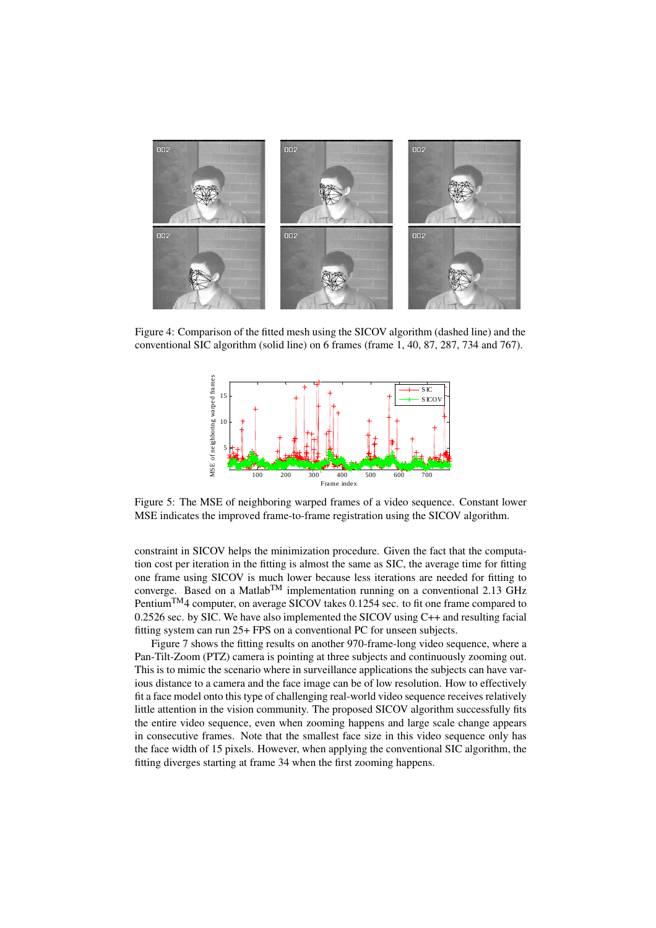

Figure 4: Comparison of the fitted mesh using the SICOV algorithm (dashed line) and the conventional SIC algorithm (solid line) on 6 frames (frame 1, 40, 87, 287, 734 and 767).



Figure 5: The MSE of neighboring warped frames of a video sequence. Constant lower MSE indicates the improved frame-to-frame registration using the SICOV algorithm.

constraint in SICOV helps the minimization procedure. Given the fact that the computation cost per iteration in the fitting is almost the same as SIC, the average time for fitting one frame using SICOV is much lower because less iterations are needed for fitting to converge. Based on a Matlab<sup>TM</sup> implementation running on a conventional 2.13 GHz PentiumTM4 computer, on average SICOV takes 0.1254 sec. to fit one frame compared to 0.2526 sec. by SIC. We have also implemented the SICOV using C++ and resulting facial fitting system can run 25+ FPS on a conventional PC for unseen subjects.

Figure 7 shows the fitting results on another 970-frame-long video sequence, where a Pan-Tilt-Zoom (PTZ) camera is pointing at three subjects and continuously zooming out. This is to mimic the scenario where in surveillance applications the subjects can have various distance to a camera and the face image can be of low resolution. How to effectively fit a face model onto this type of challenging real-world video sequence receives relatively little attention in the vision community. The proposed SICOV algorithm successfully fits the entire video sequence, even when zooming happens and large scale change appears in consecutive frames. Note that the smallest face size in this video sequence only has the face width of 15 pixels. However, when applying the conventional SIC algorithm, the fitting diverges starting at frame 34 when the first zooming happens.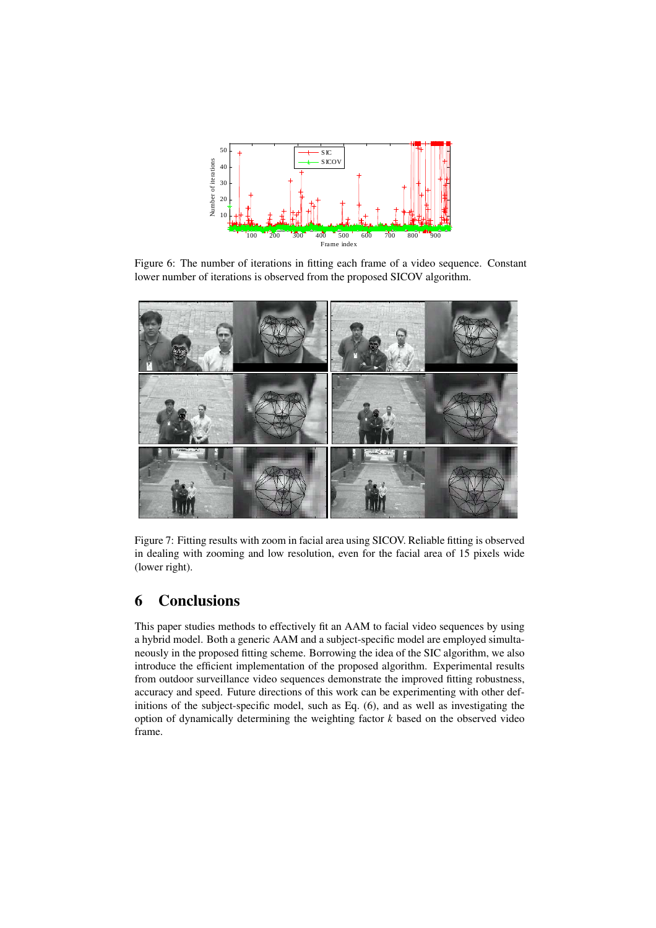

Figure 6: The number of iterations in fitting each frame of a video sequence. Constant lower number of iterations is observed from the proposed SICOV algorithm.



Figure 7: Fitting results with zoom in facial area using SICOV. Reliable fitting is observed in dealing with zooming and low resolution, even for the facial area of 15 pixels wide (lower right).

# 6 Conclusions

This paper studies methods to effectively fit an AAM to facial video sequences by using a hybrid model. Both a generic AAM and a subject-specific model are employed simultaneously in the proposed fitting scheme. Borrowing the idea of the SIC algorithm, we also introduce the efficient implementation of the proposed algorithm. Experimental results from outdoor surveillance video sequences demonstrate the improved fitting robustness, accuracy and speed. Future directions of this work can be experimenting with other definitions of the subject-specific model, such as Eq. (6), and as well as investigating the option of dynamically determining the weighting factor *k* based on the observed video frame.